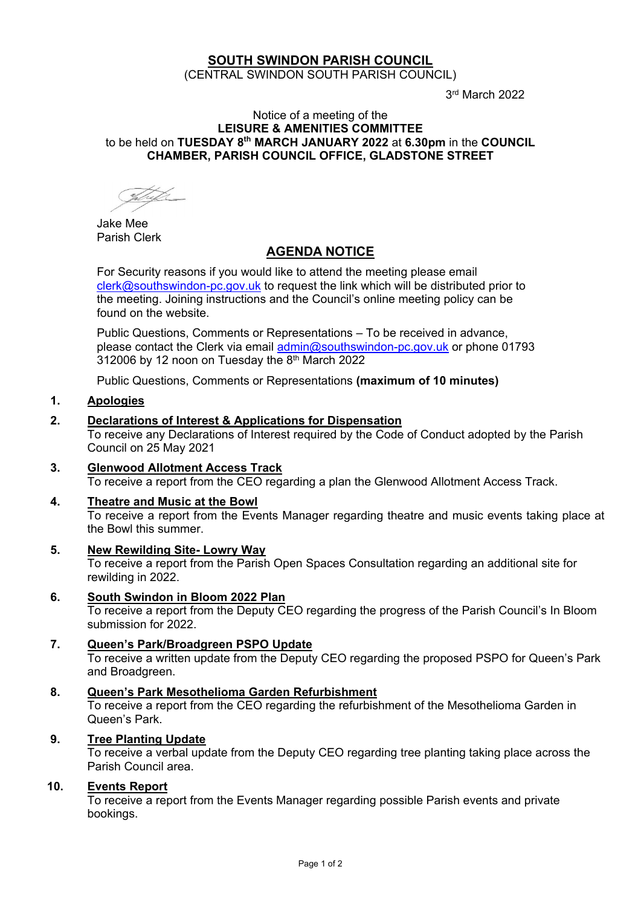# **SOUTH SWINDON PARISH COUNCIL**

(CENTRAL SWINDON SOUTH PARISH COUNCIL)

3 rd March 2022

#### Notice of a meeting of the **LEISURE & AMENITIES COMMITTEE** to be held on **TUESDAY 8 th MARCH JANUARY 2022** at **6.30pm** in the **COUNCIL CHAMBER, PARISH COUNCIL OFFICE, GLADSTONE STREET**

Jake Mee Parish Clerk

# **AGENDA NOTICE**

For Security reasons if you would like to attend the meeting please email [clerk@southswindon-pc.gov.uk](mailto:clerk@southswindon-pc.gov.uk) to request the link which will be distributed prior to the meeting. Joining instructions and the Council's online meeting policy can be found on the website.

Public Questions, Comments or Representations – To be received in advance, please contact the Clerk via email [admin@southswindon-pc.gov.uk](mailto:admin@southswindon-pc.gov.uk) or phone 01793 312006 by 12 noon on Tuesday the  $8<sup>th</sup>$  March 2022

Public Questions, Comments or Representations **(maximum of 10 minutes)**

# **1. Apologies**

## **2. Declarations of Interest & Applications for Dispensation**

To receive any Declarations of Interest required by the Code of Conduct adopted by the Parish Council on 25 May 2021

- **3. Glenwood Allotment Access Track** To receive a report from the CEO regarding a plan the Glenwood Allotment Access Track.
- **4. Theatre and Music at the Bowl** To receive a report from the Events Manager regarding theatre and music events taking place at the Bowl this summer.
- **5. New Rewilding Site- Lowry Way**  To receive a report from the Parish Open Spaces Consultation regarding an additional site for rewilding in 2022.
- **6. South Swindon in Bloom 2022 Plan**

To receive a report from the Deputy CEO regarding the progress of the Parish Council's In Bloom submission for 2022.

- **7. Queen's Park/Broadgreen PSPO Update**  To receive a written update from the Deputy CEO regarding the proposed PSPO for Queen's Park and Broadgreen.
- **8. Queen's Park Mesothelioma Garden Refurbishment** To receive a report from the CEO regarding the refurbishment of the Mesothelioma Garden in Queen's Park.
- **9. Tree Planting Update**

To receive a verbal update from the Deputy CEO regarding tree planting taking place across the Parish Council area.

### **10. Events Report**

To receive a report from the Events Manager regarding possible Parish events and private bookings.